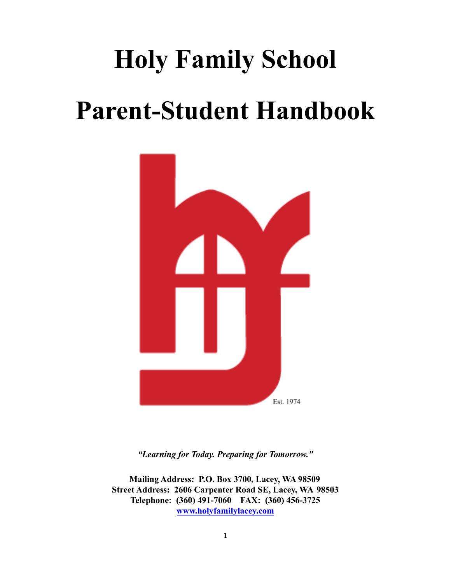# **Holy Family School Parent-Student Handbook**



*"Learning for Today. Preparing for Tomorrow."*

**Mailing Address: P.O. Box 3700, Lacey, WA 98509 Street Address: 2606 Carpenter Road SE, Lacey, WA 98503 Telephone: (360) 491-7060 FAX: (360) 456-3725 [www.holyfamilylacey.com](http://www.holyfamilylacey.com)**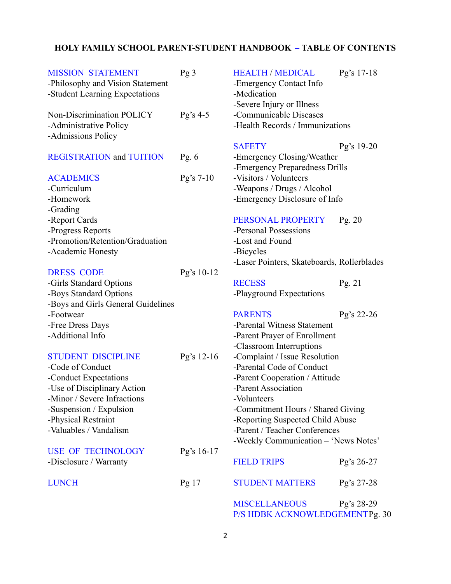# **HOLY FAMILY SCHOOL PARENT-STUDENT HANDBOOK – TABLE OF CONTENTS**

| <b>MISSION STATEMENT</b><br>-Philosophy and Vision Statement<br>-Student Learning Expectations | Pg <sub>3</sub>  | <b>HEALTH / MEDICAL</b><br>-Emergency Contact Info<br>-Medication<br>-Severe Injury or Illness | Pg's 17-18 |
|------------------------------------------------------------------------------------------------|------------------|------------------------------------------------------------------------------------------------|------------|
| Non-Discrimination POLICY<br>-Administrative Policy<br>-Admissions Policy                      | $Pg's 4-5$       | -Communicable Diseases<br>-Health Records / Immunizations                                      |            |
|                                                                                                |                  | <b>SAFETY</b>                                                                                  | Pg's 19-20 |
| <b>REGISTRATION</b> and TUITION                                                                | Pg. $6$          | -Emergency Closing/Weather                                                                     |            |
| <b>ACADEMICS</b>                                                                               | Pg's $7-10$      | -Emergency Preparedness Drills<br>-Visitors / Volunteers                                       |            |
| -Curriculum                                                                                    |                  | -Weapons / Drugs / Alcohol                                                                     |            |
| -Homework                                                                                      |                  | -Emergency Disclosure of Info                                                                  |            |
| -Grading                                                                                       |                  |                                                                                                |            |
| -Report Cards                                                                                  |                  | PERSONAL PROPERTY                                                                              | Pg. $20$   |
| -Progress Reports                                                                              |                  | -Personal Possessions                                                                          |            |
| -Promotion/Retention/Graduation                                                                |                  | -Lost and Found                                                                                |            |
| -Academic Honesty                                                                              |                  | -Bicycles                                                                                      |            |
|                                                                                                |                  | -Laser Pointers, Skateboards, Rollerblades                                                     |            |
| <b>DRESS CODE</b>                                                                              | Pg's 10-12       |                                                                                                |            |
| -Girls Standard Options                                                                        |                  | <b>RECESS</b>                                                                                  | Pg. $21$   |
| -Boys Standard Options                                                                         |                  | -Playground Expectations                                                                       |            |
| -Boys and Girls General Guidelines                                                             |                  |                                                                                                |            |
| -Footwear                                                                                      |                  | <b>PARENTS</b>                                                                                 | Pg's 22-26 |
| -Free Dress Days                                                                               |                  | -Parental Witness Statement                                                                    |            |
| -Additional Info                                                                               |                  | -Parent Prayer of Enrollment                                                                   |            |
|                                                                                                |                  | -Classroom Interruptions                                                                       |            |
| <b>STUDENT DISCIPLINE</b>                                                                      | Pg's 12-16       | -Complaint / Issue Resolution<br>-Parental Code of Conduct                                     |            |
| -Code of Conduct<br>-Conduct Expectations                                                      |                  | -Parent Cooperation / Attitude                                                                 |            |
| -Use of Disciplinary Action                                                                    |                  | -Parent Association                                                                            |            |
| -Minor / Severe Infractions                                                                    |                  | -Volunteers                                                                                    |            |
| -Suspension / Expulsion                                                                        |                  | -Commitment Hours / Shared Giving                                                              |            |
| -Physical Restraint                                                                            |                  | -Reporting Suspected Child Abuse                                                               |            |
| -Valuables / Vandalism                                                                         |                  | -Parent / Teacher Conferences                                                                  |            |
|                                                                                                |                  | -Weekly Communication - 'News Notes'                                                           |            |
| <b>USE OF TECHNOLOGY</b>                                                                       | Pg's 16-17       |                                                                                                |            |
| -Disclosure / Warranty                                                                         |                  | <b>FIELD TRIPS</b>                                                                             | Pg's 26-27 |
| <b>LUNCH</b>                                                                                   | Pg <sub>17</sub> | <b>STUDENT MATTERS</b>                                                                         | Pg's 27-28 |
|                                                                                                |                  | <b>MISCELLANEOUS</b><br>P/S HDBK ACKNOWLEDGEMENTPg. 30                                         | Pg's 28-29 |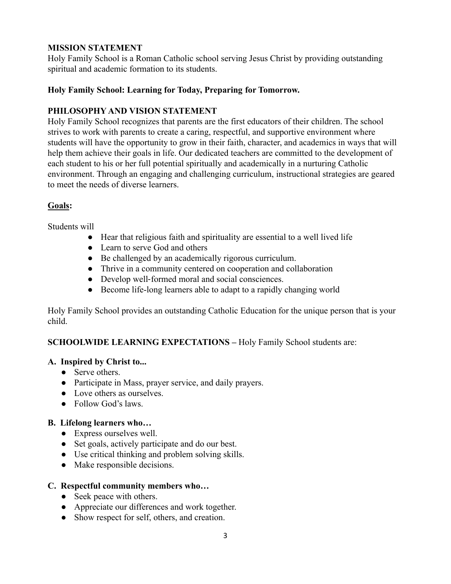# **MISSION STATEMENT**

Holy Family School is a Roman Catholic school serving Jesus Christ by providing outstanding spiritual and academic formation to its students.

# **Holy Family School: Learning for Today, Preparing for Tomorrow.**

# **PHILOSOPHY AND VISION STATEMENT**

Holy Family School recognizes that parents are the first educators of their children. The school strives to work with parents to create a caring, respectful, and supportive environment where students will have the opportunity to grow in their faith, character, and academics in ways that will help them achieve their goals in life. Our dedicated teachers are committed to the development of each student to his or her full potential spiritually and academically in a nurturing Catholic environment. Through an engaging and challenging curriculum, instructional strategies are geared to meet the needs of diverse learners.

# **Goals:**

Students will

- Hear that religious faith and spirituality are essential to a well lived life
- Learn to serve God and others
- Be challenged by an academically rigorous curriculum.
- Thrive in a community centered on cooperation and collaboration
- Develop well-formed moral and social consciences.
- Become life-long learners able to adapt to a rapidly changing world

Holy Family School provides an outstanding Catholic Education for the unique person that is your child.

# **SCHOOLWIDE LEARNING EXPECTATIONS –** Holy Family School students are:

# **A. Inspired by Christ to...**

- Serve others.
- Participate in Mass, prayer service, and daily prayers.
- Love others as ourselves.
- Follow God's laws

# **B. Lifelong learners who…**

- Express ourselves well.
- Set goals, actively participate and do our best.
- Use critical thinking and problem solving skills.
- Make responsible decisions.

# **C. Respectful community members who…**

- Seek peace with others.
- Appreciate our differences and work together.
- Show respect for self, others, and creation.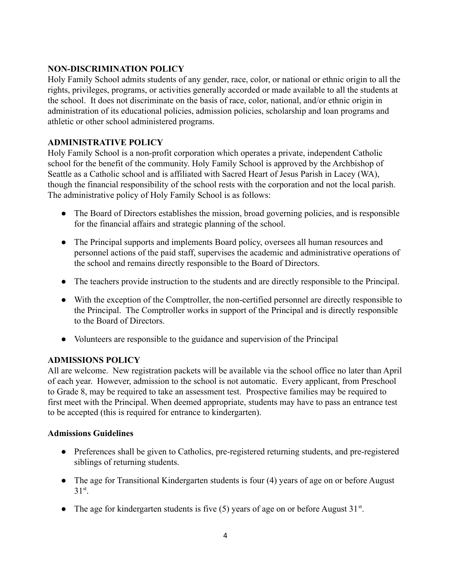# **NON-DISCRIMINATION POLICY**

Holy Family School admits students of any gender, race, color, or national or ethnic origin to all the rights, privileges, programs, or activities generally accorded or made available to all the students at the school. It does not discriminate on the basis of race, color, national, and/or ethnic origin in administration of its educational policies, admission policies, scholarship and loan programs and athletic or other school administered programs.

# **ADMINISTRATIVE POLICY**

Holy Family School is a non-profit corporation which operates a private, independent Catholic school for the benefit of the community. Holy Family School is approved by the Archbishop of Seattle as a Catholic school and is affiliated with Sacred Heart of Jesus Parish in Lacey (WA), though the financial responsibility of the school rests with the corporation and not the local parish. The administrative policy of Holy Family School is as follows:

- The Board of Directors establishes the mission, broad governing policies, and is responsible for the financial affairs and strategic planning of the school.
- The Principal supports and implements Board policy, oversees all human resources and personnel actions of the paid staff, supervises the academic and administrative operations of the school and remains directly responsible to the Board of Directors.
- The teachers provide instruction to the students and are directly responsible to the Principal.
- With the exception of the Comptroller, the non-certified personnel are directly responsible to the Principal. The Comptroller works in support of the Principal and is directly responsible to the Board of Directors.
- Volunteers are responsible to the guidance and supervision of the Principal

# **ADMISSIONS POLICY**

All are welcome. New registration packets will be available via the school office no later than April of each year. However, admission to the school is not automatic. Every applicant, from Preschool to Grade 8, may be required to take an assessment test. Prospective families may be required to first meet with the Principal. When deemed appropriate, students may have to pass an entrance test to be accepted (this is required for entrance to kindergarten).

# **Admissions Guidelines**

- Preferences shall be given to Catholics, pre-registered returning students, and pre-registered siblings of returning students.
- The age for Transitional Kindergarten students is four (4) years of age on or before August 31st.
- The age for kindergarten students is five  $(5)$  years of age on or before August 31<sup>st</sup>.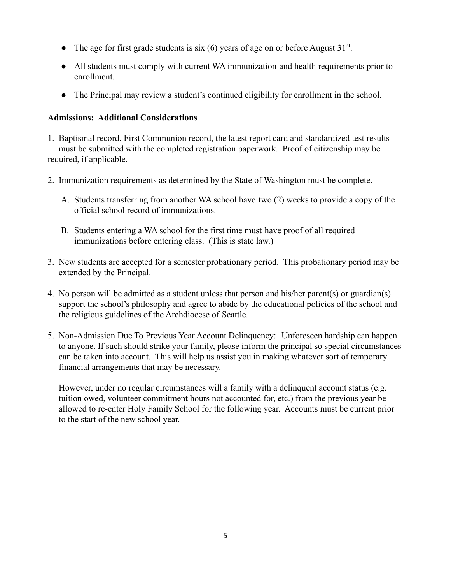- The age for first grade students is  $\sin(6)$  years of age on or before August 31<sup>st</sup>.
- All students must comply with current WA immunization and health requirements prior to enrollment.
- The Principal may review a student's continued eligibility for enrollment in the school.

# **Admissions: Additional Considerations**

- 1. Baptismal record, First Communion record, the latest report card and standardized test results must be submitted with the completed registration paperwork. Proof of citizenship may be required, if applicable.
- 2. Immunization requirements as determined by the State of Washington must be complete.
	- A. Students transferring from another WA school have two (2) weeks to provide a copy of the official school record of immunizations.
	- B. Students entering a WA school for the first time must have proof of all required immunizations before entering class. (This is state law.)
- 3. New students are accepted for a semester probationary period. This probationary period may be extended by the Principal.
- 4. No person will be admitted as a student unless that person and his/her parent(s) or guardian(s) support the school's philosophy and agree to abide by the educational policies of the school and the religious guidelines of the Archdiocese of Seattle.
- 5. Non-Admission Due To Previous Year Account Delinquency: Unforeseen hardship can happen to anyone. If such should strike your family, please inform the principal so special circumstances can be taken into account. This will help us assist you in making whatever sort of temporary financial arrangements that may be necessary.

However, under no regular circumstances will a family with a delinquent account status (e.g. tuition owed, volunteer commitment hours not accounted for, etc.) from the previous year be allowed to re-enter Holy Family School for the following year. Accounts must be current prior to the start of the new school year.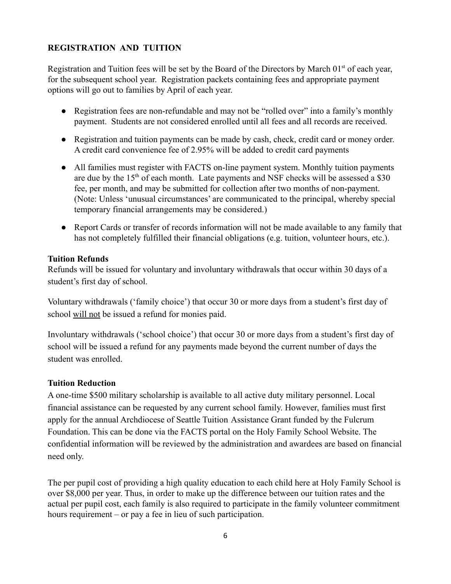# **REGISTRATION AND TUITION**

Registration and Tuition fees will be set by the Board of the Directors by March  $01<sup>st</sup>$  of each year, for the subsequent school year. Registration packets containing fees and appropriate payment options will go out to families by April of each year.

- Registration fees are non-refundable and may not be "rolled over" into a family's monthly payment. Students are not considered enrolled until all fees and all records are received.
- Registration and tuition payments can be made by cash, check, credit card or money order. A credit card convenience fee of 2.95% will be added to credit card payments
- All families must register with FACTS on-line payment system. Monthly tuition payments are due by the  $15<sup>th</sup>$  of each month. Late payments and NSF checks will be assessed a \$30 fee, per month, and may be submitted for collection after two months of non-payment. (Note: Unless 'unusual circumstances' are communicated to the principal, whereby special temporary financial arrangements may be considered.)
- Report Cards or transfer of records information will not be made available to any family that has not completely fulfilled their financial obligations (e.g. tuition, volunteer hours, etc.).

# **Tuition Refunds**

Refunds will be issued for voluntary and involuntary withdrawals that occur within 30 days of a student's first day of school.

Voluntary withdrawals ('family choice') that occur 30 or more days from a student's first day of school will not be issued a refund for monies paid.

Involuntary withdrawals ('school choice') that occur 30 or more days from a student's first day of school will be issued a refund for any payments made beyond the current number of days the student was enrolled.

# **Tuition Reduction**

A one-time \$500 military scholarship is available to all active duty military personnel. Local financial assistance can be requested by any current school family. However, families must first apply for the annual Archdiocese of Seattle Tuition Assistance Grant funded by the Fulcrum Foundation. This can be done via the FACTS portal on the Holy Family School Website. The confidential information will be reviewed by the administration and awardees are based on financial need only.

The per pupil cost of providing a high quality education to each child here at Holy Family School is over \$8,000 per year. Thus, in order to make up the difference between our tuition rates and the actual per pupil cost, each family is also required to participate in the family volunteer commitment hours requirement – or pay a fee in lieu of such participation.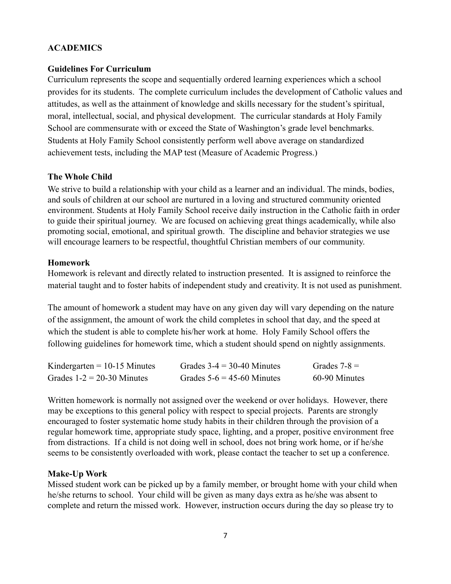# **ACADEMICS**

#### **Guidelines For Curriculum**

Curriculum represents the scope and sequentially ordered learning experiences which a school provides for its students. The complete curriculum includes the development of Catholic values and attitudes, as well as the attainment of knowledge and skills necessary for the student's spiritual, moral, intellectual, social, and physical development. The curricular standards at Holy Family School are commensurate with or exceed the State of Washington's grade level benchmarks. Students at Holy Family School consistently perform well above average on standardized achievement tests, including the MAP test (Measure of Academic Progress.)

#### **The Whole Child**

We strive to build a relationship with your child as a learner and an individual. The minds, bodies, and souls of children at our school are nurtured in a loving and structured community oriented environment. Students at Holy Family School receive daily instruction in the Catholic faith in order to guide their spiritual journey. We are focused on achieving great things academically, while also promoting social, emotional, and spiritual growth. The discipline and behavior strategies we use will encourage learners to be respectful, thoughtful Christian members of our community.

#### **Homework**

Homework is relevant and directly related to instruction presented. It is assigned to reinforce the material taught and to foster habits of independent study and creativity. It is not used as punishment.

The amount of homework a student may have on any given day will vary depending on the nature of the assignment, the amount of work the child completes in school that day, and the speed at which the student is able to complete his/her work at home. Holy Family School offers the following guidelines for homework time, which a student should spend on nightly assignments.

| Kindergarten = $10-15$ Minutes | Grades $3-4 = 30-40$ Minutes | Grades $7-8 =$ |
|--------------------------------|------------------------------|----------------|
| Grades $1-2 = 20-30$ Minutes   | Grades $5-6 = 45-60$ Minutes | 60-90 Minutes  |

Written homework is normally not assigned over the weekend or over holidays. However, there may be exceptions to this general policy with respect to special projects. Parents are strongly encouraged to foster systematic home study habits in their children through the provision of a regular homework time, appropriate study space, lighting, and a proper, positive environment free from distractions. If a child is not doing well in school, does not bring work home, or if he/she seems to be consistently overloaded with work, please contact the teacher to set up a conference.

# **Make-Up Work**

Missed student work can be picked up by a family member, or brought home with your child when he/she returns to school. Your child will be given as many days extra as he/she was absent to complete and return the missed work. However, instruction occurs during the day so please try to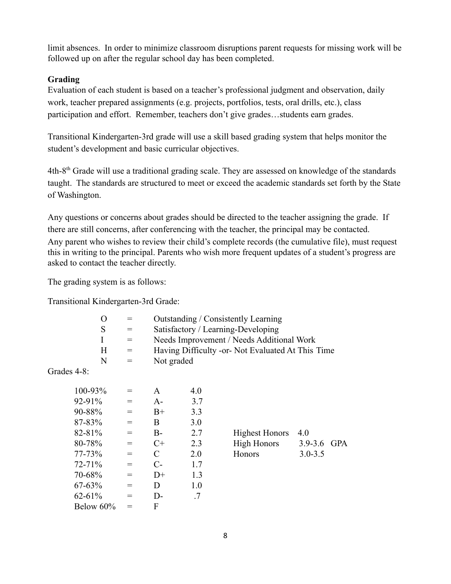limit absences. In order to minimize classroom disruptions parent requests for missing work will be followed up on after the regular school day has been completed.

# **Grading**

Evaluation of each student is based on a teacher's professional judgment and observation, daily work, teacher prepared assignments (e.g. projects, portfolios, tests, oral drills, etc.), class participation and effort. Remember, teachers don't give grades…students earn grades.

Transitional Kindergarten-3rd grade will use a skill based grading system that helps monitor the student's development and basic curricular objectives.

4th-8th Grade will use a traditional grading scale. They are assessed on knowledge of the standards taught. The standards are structured to meet or exceed the academic standards set forth by the State of Washington.

Any questions or concerns about grades should be directed to the teacher assigning the grade. If there are still concerns, after conferencing with the teacher, the principal may be contacted. Any parent who wishes to review their child's complete records (the cumulative file), must request this in writing to the principal. Parents who wish more frequent updates of a student's progress are asked to contact the teacher directly.

The grading system is as follows:

Transitional Kindergarten-3rd Grade:

| O | $=$ | Outstanding / Consistently Learning               |
|---|-----|---------------------------------------------------|
| S | $=$ | Satisfactory / Learning-Developing                |
|   |     | Needs Improvement / Needs Additional Work         |
| H | $=$ | Having Difficulty -or- Not Evaluated At This Time |
| N | $=$ | Not graded                                        |
|   |     |                                                   |

Grades 4-8:

| 100-93%     | $=$ | A    | 4.0 |                       |             |            |
|-------------|-----|------|-----|-----------------------|-------------|------------|
| $92 - 91%$  | $=$ | $A-$ | 3.7 |                       |             |            |
| 90-88%      | $=$ | $B+$ | 3.3 |                       |             |            |
| 87-83%      | $=$ | B    | 3.0 |                       |             |            |
| $82 - 81%$  | $=$ | $B-$ | 2.7 | <b>Highest Honors</b> | 4.0         |            |
| 80-78%      | $=$ | $C+$ | 2.3 | <b>High Honors</b>    | $3.9 - 3.6$ | <b>GPA</b> |
| $77 - 73%$  | $=$ | C    | 2.0 | Honors                | $3.0 - 3.5$ |            |
| $72 - 71%$  | $=$ | $C-$ | 1.7 |                       |             |            |
| 70-68%      | $=$ | $D+$ | 1.3 |                       |             |            |
| $67 - 63\%$ | $=$ | D    | 1.0 |                       |             |            |
| $62 - 61\%$ | $=$ | $D-$ | .7  |                       |             |            |
| Below 60%   |     | F    |     |                       |             |            |

| Highest Honors 4.0 |             |  |
|--------------------|-------------|--|
| <b>High Honors</b> | 3.9-3.6 GPA |  |
| <b>Honors</b>      | $3.0 - 3.5$ |  |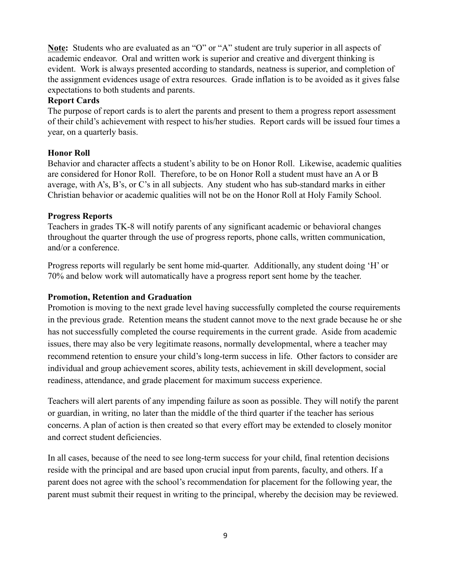**Note:** Students who are evaluated as an "O" or "A" student are truly superior in all aspects of academic endeavor. Oral and written work is superior and creative and divergent thinking is evident. Work is always presented according to standards, neatness is superior, and completion of the assignment evidences usage of extra resources. Grade inflation is to be avoided as it gives false expectations to both students and parents.

# **Report Cards**

The purpose of report cards is to alert the parents and present to them a progress report assessment of their child's achievement with respect to his/her studies. Report cards will be issued four times a year, on a quarterly basis.

# **Honor Roll**

Behavior and character affects a student's ability to be on Honor Roll. Likewise, academic qualities are considered for Honor Roll. Therefore, to be on Honor Roll a student must have an A or B average, with A's, B's, or C's in all subjects. Any student who has sub-standard marks in either Christian behavior or academic qualities will not be on the Honor Roll at Holy Family School.

# **Progress Reports**

Teachers in grades TK-8 will notify parents of any significant academic or behavioral changes throughout the quarter through the use of progress reports, phone calls, written communication, and/or a conference.

Progress reports will regularly be sent home mid-quarter. Additionally, any student doing 'H' or 70% and below work will automatically have a progress report sent home by the teacher.

# **Promotion, Retention and Graduation**

Promotion is moving to the next grade level having successfully completed the course requirements in the previous grade. Retention means the student cannot move to the next grade because he or she has not successfully completed the course requirements in the current grade. Aside from academic issues, there may also be very legitimate reasons, normally developmental, where a teacher may recommend retention to ensure your child's long-term success in life. Other factors to consider are individual and group achievement scores, ability tests, achievement in skill development, social readiness, attendance, and grade placement for maximum success experience.

Teachers will alert parents of any impending failure as soon as possible. They will notify the parent or guardian, in writing, no later than the middle of the third quarter if the teacher has serious concerns. A plan of action is then created so that every effort may be extended to closely monitor and correct student deficiencies.

In all cases, because of the need to see long-term success for your child, final retention decisions reside with the principal and are based upon crucial input from parents, faculty, and others. If a parent does not agree with the school's recommendation for placement for the following year, the parent must submit their request in writing to the principal, whereby the decision may be reviewed.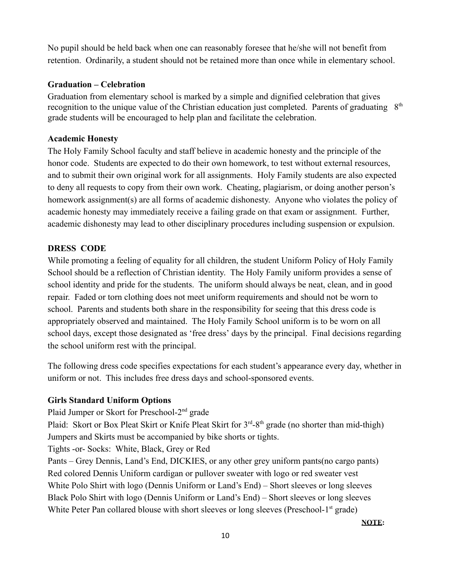No pupil should be held back when one can reasonably foresee that he/she will not benefit from retention. Ordinarily, a student should not be retained more than once while in elementary school.

# **Graduation – Celebration**

Graduation from elementary school is marked by a simple and dignified celebration that gives recognition to the unique value of the Christian education just completed. Parents of graduating 8<sup>th</sup> grade students will be encouraged to help plan and facilitate the celebration.

# **Academic Honesty**

The Holy Family School faculty and staff believe in academic honesty and the principle of the honor code. Students are expected to do their own homework, to test without external resources, and to submit their own original work for all assignments. Holy Family students are also expected to deny all requests to copy from their own work. Cheating, plagiarism, or doing another person's homework assignment(s) are all forms of academic dishonesty. Anyone who violates the policy of academic honesty may immediately receive a failing grade on that exam or assignment. Further, academic dishonesty may lead to other disciplinary procedures including suspension or expulsion.

# **DRESS CODE**

While promoting a feeling of equality for all children, the student Uniform Policy of Holy Family School should be a reflection of Christian identity. The Holy Family uniform provides a sense of school identity and pride for the students. The uniform should always be neat, clean, and in good repair. Faded or torn clothing does not meet uniform requirements and should not be worn to school. Parents and students both share in the responsibility for seeing that this dress code is appropriately observed and maintained. The Holy Family School uniform is to be worn on all school days, except those designated as 'free dress' days by the principal. Final decisions regarding the school uniform rest with the principal.

The following dress code specifies expectations for each student's appearance every day, whether in uniform or not. This includes free dress days and school-sponsored events.

# **Girls Standard Uniform Options**

Plaid Jumper or Skort for Preschool-2<sup>nd</sup> grade

Plaid: Skort or Box Pleat Skirt or Knife Pleat Skirt for 3<sup>rd</sup>-8<sup>th</sup> grade (no shorter than mid-thigh) Jumpers and Skirts must be accompanied by bike shorts or tights.

Tights -or- Socks: White, Black, Grey or Red

Pants – Grey Dennis, Land's End, DICKIES, or any other grey uniform pants(no cargo pants) Red colored Dennis Uniform cardigan or pullover sweater with logo or red sweater vest White Polo Shirt with logo (Dennis Uniform or Land's End) – Short sleeves or long sleeves Black Polo Shirt with logo (Dennis Uniform or Land's End) – Short sleeves or long sleeves White Peter Pan collared blouse with short sleeves or long sleeves (Preschool-1st grade)

**NOTE:**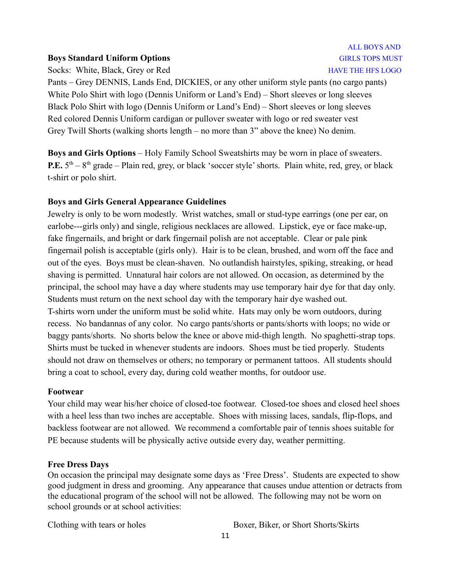#### **Boys Standard Uniform Options** GIRLS TOPS MUST

Socks: White, Black, Grey or Red HAVE THE HFS LOGO

# ALL BOYS AND

Pants – Grey DENNIS, Lands End, DICKIES, or any other uniform style pants (no cargo pants) White Polo Shirt with logo (Dennis Uniform or Land's End) – Short sleeves or long sleeves Black Polo Shirt with logo (Dennis Uniform or Land's End) – Short sleeves or long sleeves Red colored Dennis Uniform cardigan or pullover sweater with logo or red sweater vest Grey Twill Shorts (walking shorts length – no more than 3" above the knee) No denim.

**Boys and Girls Options** – Holy Family School Sweatshirts may be worn in place of sweaters. **P.E.**  $5<sup>th</sup> - 8<sup>th</sup>$  grade – Plain red, grey, or black 'soccer style' shorts. Plain white, red, grey, or black t-shirt or polo shirt.

#### **Boys and Girls General Appearance Guidelines**

Jewelry is only to be worn modestly. Wrist watches, small or stud-type earrings (one per ear, on earlobe---girls only) and single, religious necklaces are allowed. Lipstick, eye or face make-up, fake fingernails, and bright or dark fingernail polish are not acceptable. Clear or pale pink fingernail polish is acceptable (girls only). Hair is to be clean, brushed, and worn off the face and out of the eyes. Boys must be clean-shaven. No outlandish hairstyles, spiking, streaking, or head shaving is permitted. Unnatural hair colors are not allowed. On occasion, as determined by the principal, the school may have a day where students may use temporary hair dye for that day only. Students must return on the next school day with the temporary hair dye washed out. T-shirts worn under the uniform must be solid white. Hats may only be worn outdoors, during recess. No bandannas of any color. No cargo pants/shorts or pants/shorts with loops; no wide or baggy pants/shorts. No shorts below the knee or above mid-thigh length. No spaghetti-strap tops. Shirts must be tucked in whenever students are indoors. Shoes must be tied properly. Students should not draw on themselves or others; no temporary or permanent tattoos. All students should bring a coat to school, every day, during cold weather months, for outdoor use.

#### **Footwear**

Your child may wear his/her choice of closed-toe footwear. Closed-toe shoes and closed heel shoes with a heel less than two inches are acceptable. Shoes with missing laces, sandals, flip-flops, and backless footwear are not allowed. We recommend a comfortable pair of tennis shoes suitable for PE because students will be physically active outside every day, weather permitting.

#### **Free Dress Days**

On occasion the principal may designate some days as 'Free Dress'. Students are expected to show good judgment in dress and grooming. Any appearance that causes undue attention or detracts from the educational program of the school will not be allowed. The following may not be worn on school grounds or at school activities:

Clothing with tears or holes Boxer, Biker, or Short Shorts/Skirts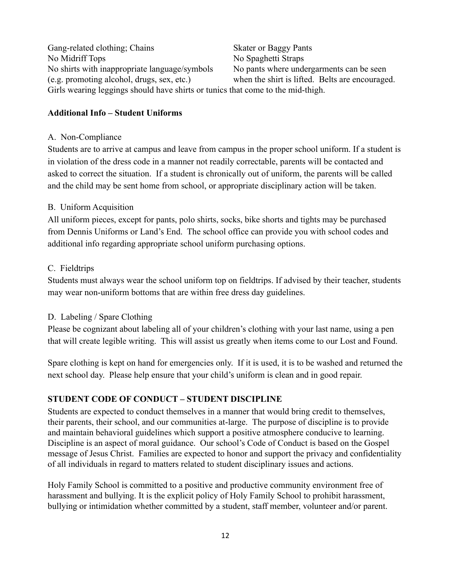Gang-related clothing; Chains Skater or Baggy Pants No Midriff Tops No Spaghetti Straps No shirts with inappropriate language/symbols No pants where undergarments can be seen (e.g. promoting alcohol, drugs, sex, etc.) when the shirt is lifted. Belts are encouraged. Girls wearing leggings should have shirts or tunics that come to the mid-thigh.

#### **Additional Info – Student Uniforms**

#### A. Non-Compliance

Students are to arrive at campus and leave from campus in the proper school uniform. If a student is in violation of the dress code in a manner not readily correctable, parents will be contacted and asked to correct the situation. If a student is chronically out of uniform, the parents will be called and the child may be sent home from school, or appropriate disciplinary action will be taken.

# B. Uniform Acquisition

All uniform pieces, except for pants, polo shirts, socks, bike shorts and tights may be purchased from Dennis Uniforms or Land's End. The school office can provide you with school codes and additional info regarding appropriate school uniform purchasing options.

#### C. Fieldtrips

Students must always wear the school uniform top on fieldtrips. If advised by their teacher, students may wear non-uniform bottoms that are within free dress day guidelines.

# D. Labeling / Spare Clothing

Please be cognizant about labeling all of your children's clothing with your last name, using a pen that will create legible writing. This will assist us greatly when items come to our Lost and Found.

Spare clothing is kept on hand for emergencies only. If it is used, it is to be washed and returned the next school day. Please help ensure that your child's uniform is clean and in good repair.

# **STUDENT CODE OF CONDUCT – STUDENT DISCIPLINE**

Students are expected to conduct themselves in a manner that would bring credit to themselves, their parents, their school, and our communities at-large. The purpose of discipline is to provide and maintain behavioral guidelines which support a positive atmosphere conducive to learning. Discipline is an aspect of moral guidance. Our school's Code of Conduct is based on the Gospel message of Jesus Christ. Families are expected to honor and support the privacy and confidentiality of all individuals in regard to matters related to student disciplinary issues and actions.

Holy Family School is committed to a positive and productive community environment free of harassment and bullying. It is the explicit policy of Holy Family School to prohibit harassment, bullying or intimidation whether committed by a student, staff member, volunteer and/or parent.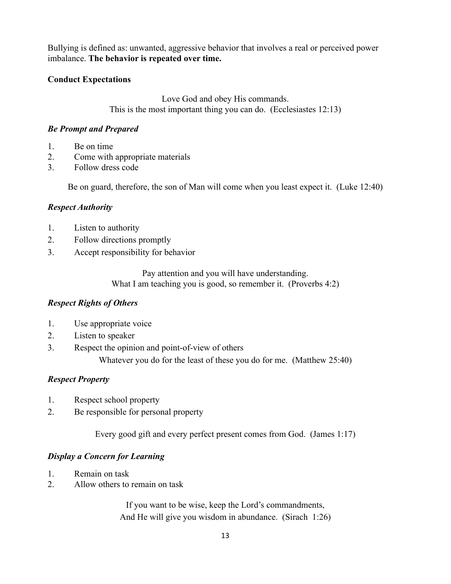Bullying is defined as: unwanted, aggressive behavior that involves a real or perceived power imbalance. **The behavior is repeated over time.**

# **Conduct Expectations**

Love God and obey His commands. This is the most important thing you can do. (Ecclesiastes 12:13)

# *Be Prompt and Prepared*

- 1. Be on time
- 2. Come with appropriate materials
- 3. Follow dress code

Be on guard, therefore, the son of Man will come when you least expect it. (Luke 12:40)

# *Respect Authority*

- 1. Listen to authority
- 2. Follow directions promptly
- 3. Accept responsibility for behavior

Pay attention and you will have understanding. What I am teaching you is good, so remember it. (Proverbs 4:2)

# *Respect Rights of Others*

- 1. Use appropriate voice
- 2. Listen to speaker
- 3. Respect the opinion and point-of-view of others

Whatever you do for the least of these you do for me. (Matthew 25:40)

# *Respect Property*

- 1. Respect school property
- 2. Be responsible for personal property

Every good gift and every perfect present comes from God. (James 1:17)

# *Display a Concern for Learning*

- 1. Remain on task
- 2. Allow others to remain on task

If you want to be wise, keep the Lord's commandments, And He will give you wisdom in abundance. (Sirach 1:26)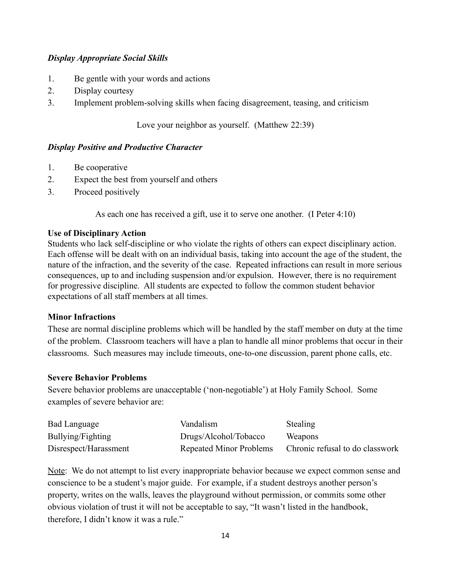# *Display Appropriate Social Skills*

- 1. Be gentle with your words and actions
- 2. Display courtesy
- 3. Implement problem-solving skills when facing disagreement, teasing, and criticism

Love your neighbor as yourself. (Matthew 22:39)

# *Display Positive and Productive Character*

- 1. Be cooperative
- 2. Expect the best from yourself and others
- 3. Proceed positively

As each one has received a gift, use it to serve one another. (I Peter 4:10)

#### **Use of Disciplinary Action**

Students who lack self-discipline or who violate the rights of others can expect disciplinary action. Each offense will be dealt with on an individual basis, taking into account the age of the student, the nature of the infraction, and the severity of the case. Repeated infractions can result in more serious consequences, up to and including suspension and/or expulsion. However, there is no requirement for progressive discipline. All students are expected to follow the common student behavior expectations of all staff members at all times.

# **Minor Infractions**

These are normal discipline problems which will be handled by the staff member on duty at the time of the problem. Classroom teachers will have a plan to handle all minor problems that occur in their classrooms. Such measures may include timeouts, one-to-one discussion, parent phone calls, etc.

#### **Severe Behavior Problems**

Severe behavior problems are unacceptable ('non-negotiable') at Holy Family School. Some examples of severe behavior are:

| <b>Bad Language</b>   | Vandalism                      | <b>Stealing</b>                 |
|-----------------------|--------------------------------|---------------------------------|
| Bullying/Fighting     | Drugs/Alcohol/Tobacco          | Weapons                         |
| Disrespect/Harassment | <b>Repeated Minor Problems</b> | Chronic refusal to do classwork |

Note: We do not attempt to list every inappropriate behavior because we expect common sense and conscience to be a student's major guide. For example, if a student destroys another person's property, writes on the walls, leaves the playground without permission, or commits some other obvious violation of trust it will not be acceptable to say, "It wasn't listed in the handbook, therefore, I didn't know it was a rule."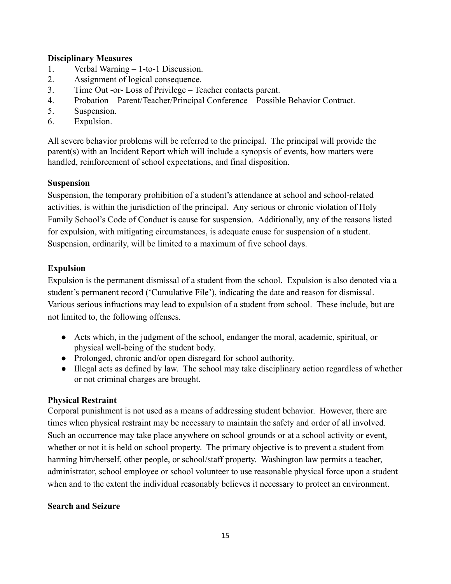# **Disciplinary Measures**

- 1. Verbal Warning 1-to-1 Discussion.
- 2. Assignment of logical consequence.
- 3. Time Out -or- Loss of Privilege Teacher contacts parent.
- 4. Probation Parent/Teacher/Principal Conference Possible Behavior Contract.
- 5. Suspension.
- 6. Expulsion.

All severe behavior problems will be referred to the principal. The principal will provide the parent(s) with an Incident Report which will include a synopsis of events, how matters were handled, reinforcement of school expectations, and final disposition.

# **Suspension**

Suspension, the temporary prohibition of a student's attendance at school and school-related activities, is within the jurisdiction of the principal. Any serious or chronic violation of Holy Family School's Code of Conduct is cause for suspension. Additionally, any of the reasons listed for expulsion, with mitigating circumstances, is adequate cause for suspension of a student. Suspension, ordinarily, will be limited to a maximum of five school days.

# **Expulsion**

Expulsion is the permanent dismissal of a student from the school. Expulsion is also denoted via a student's permanent record ('Cumulative File'), indicating the date and reason for dismissal. Various serious infractions may lead to expulsion of a student from school. These include, but are not limited to, the following offenses.

- Acts which, in the judgment of the school, endanger the moral, academic, spiritual, or physical well-being of the student body.
- Prolonged, chronic and/or open disregard for school authority.
- Illegal acts as defined by law. The school may take disciplinary action regardless of whether or not criminal charges are brought.

# **Physical Restraint**

Corporal punishment is not used as a means of addressing student behavior. However, there are times when physical restraint may be necessary to maintain the safety and order of all involved. Such an occurrence may take place anywhere on school grounds or at a school activity or event, whether or not it is held on school property. The primary objective is to prevent a student from harming him/herself, other people, or school/staff property. Washington law permits a teacher, administrator, school employee or school volunteer to use reasonable physical force upon a student when and to the extent the individual reasonably believes it necessary to protect an environment.

# **Search and Seizure**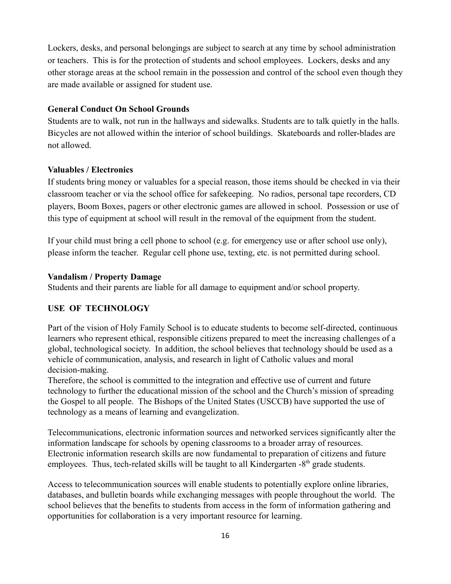Lockers, desks, and personal belongings are subject to search at any time by school administration or teachers. This is for the protection of students and school employees. Lockers, desks and any other storage areas at the school remain in the possession and control of the school even though they are made available or assigned for student use.

#### **General Conduct On School Grounds**

Students are to walk, not run in the hallways and sidewalks. Students are to talk quietly in the halls. Bicycles are not allowed within the interior of school buildings. Skateboards and roller-blades are not allowed.

#### **Valuables / Electronics**

If students bring money or valuables for a special reason, those items should be checked in via their classroom teacher or via the school office for safekeeping. No radios, personal tape recorders, CD players, Boom Boxes, pagers or other electronic games are allowed in school. Possession or use of this type of equipment at school will result in the removal of the equipment from the student.

If your child must bring a cell phone to school (e.g. for emergency use or after school use only), please inform the teacher. Regular cell phone use, texting, etc. is not permitted during school.

#### **Vandalism / Property Damage**

Students and their parents are liable for all damage to equipment and/or school property.

# **USE OF TECHNOLOGY**

Part of the vision of Holy Family School is to educate students to become self-directed, continuous learners who represent ethical, responsible citizens prepared to meet the increasing challenges of a global, technological society. In addition, the school believes that technology should be used as a vehicle of communication, analysis, and research in light of Catholic values and moral decision-making.

Therefore, the school is committed to the integration and effective use of current and future technology to further the educational mission of the school and the Church's mission of spreading the Gospel to all people. The Bishops of the United States (USCCB) have supported the use of technology as a means of learning and evangelization.

Telecommunications, electronic information sources and networked services significantly alter the information landscape for schools by opening classrooms to a broader array of resources. Electronic information research skills are now fundamental to preparation of citizens and future employees. Thus, tech-related skills will be taught to all Kindergarten -8<sup>th</sup> grade students.

Access to telecommunication sources will enable students to potentially explore online libraries, databases, and bulletin boards while exchanging messages with people throughout the world. The school believes that the benefits to students from access in the form of information gathering and opportunities for collaboration is a very important resource for learning.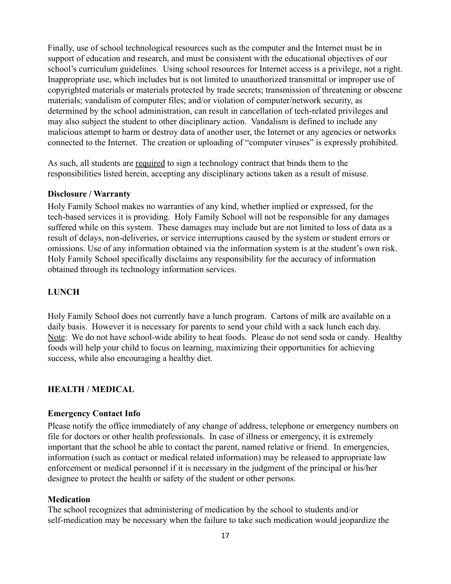Finally, use of school technological resources such as the computer and the Internet must be in support of education and research, and must be consistent with the educational objectives of our school's curriculum guidelines. Using school resources for Internet access is a privilege, not a right. Inappropriate use, which includes but is not limited to unauthorized transmittal or improper use of copyrighted materials or materials protected by trade secrets; transmission of threatening or obscene materials; vandalism of computer files; and/or violation of computer/network security, as determined by the school administration, can result in cancellation of tech-related privileges and may also subject the student to other disciplinary action. Vandalism is defined to include any malicious attempt to harm or destroy data of another user, the Internet or any agencies or networks connected to the Internet. The creation or uploading of "computer viruses" is expressly prohibited.

As such, all students are required to sign a technology contract that binds them to the responsibilities listed herein, accepting any disciplinary actions taken as a result of misuse.

#### **Disclosure / Warranty**

Holy Family School makes no warranties of any kind, whether implied or expressed, for the tech-based services it is providing. Holy Family School will not be responsible for any damages suffered while on this system. These damages may include but are not limited to loss of data as a result of delays, non-deliveries, or service interruptions caused by the system or student errors or omissions. Use of any information obtained via the information system is at the student's own risk. Holy Family School specifically disclaims any responsibility for the accuracy of information obtained through its technology information services.

# **LUNCH**

Holy Family School does not currently have a lunch program. Cartons of milk are available on a daily basis. However it is necessary for parents to send your child with a sack lunch each day. Note: We do not have school-wide ability to heat foods. Please do not send soda or candy. Healthy foods will help your child to focus on learning, maximizing their opportunities for achieving success, while also encouraging a healthy diet.

# **HEALTH / MEDICAL**

#### **Emergency Contact Info**

Please notify the office immediately of any change of address, telephone or emergency numbers on file for doctors or other health professionals. In case of illness or emergency, it is extremely important that the school be able to contact the parent, named relative or friend. In emergencies, information (such as contact or medical related information) may be released to appropriate law enforcement or medical personnel if it is necessary in the judgment of the principal or his/her designee to protect the health or safety of the student or other persons.

#### **Medication**

The school recognizes that administering of medication by the school to students and/or self-medication may be necessary when the failure to take such medication would jeopardize the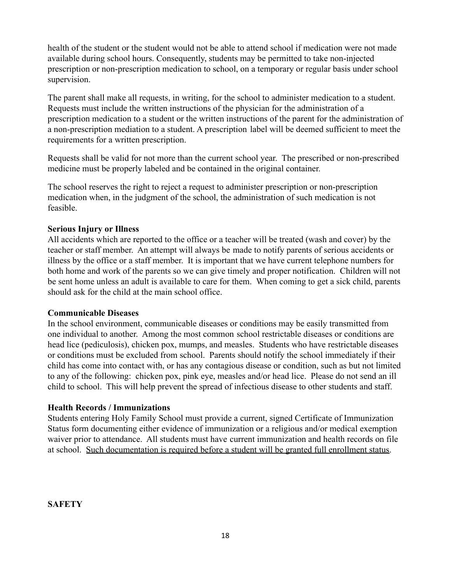health of the student or the student would not be able to attend school if medication were not made available during school hours. Consequently, students may be permitted to take non-injected prescription or non-prescription medication to school, on a temporary or regular basis under school supervision.

The parent shall make all requests, in writing, for the school to administer medication to a student. Requests must include the written instructions of the physician for the administration of a prescription medication to a student or the written instructions of the parent for the administration of a non-prescription mediation to a student. A prescription label will be deemed sufficient to meet the requirements for a written prescription.

Requests shall be valid for not more than the current school year. The prescribed or non-prescribed medicine must be properly labeled and be contained in the original container.

The school reserves the right to reject a request to administer prescription or non-prescription medication when, in the judgment of the school, the administration of such medication is not feasible.

# **Serious Injury or Illness**

All accidents which are reported to the office or a teacher will be treated (wash and cover) by the teacher or staff member. An attempt will always be made to notify parents of serious accidents or illness by the office or a staff member. It is important that we have current telephone numbers for both home and work of the parents so we can give timely and proper notification. Children will not be sent home unless an adult is available to care for them. When coming to get a sick child, parents should ask for the child at the main school office.

# **Communicable Diseases**

In the school environment, communicable diseases or conditions may be easily transmitted from one individual to another. Among the most common school restrictable diseases or conditions are head lice (pediculosis), chicken pox, mumps, and measles. Students who have restrictable diseases or conditions must be excluded from school. Parents should notify the school immediately if their child has come into contact with, or has any contagious disease or condition, such as but not limited to any of the following: chicken pox, pink eye, measles and/or head lice. Please do not send an ill child to school. This will help prevent the spread of infectious disease to other students and staff.

# **Health Records / Immunizations**

Students entering Holy Family School must provide a current, signed Certificate of Immunization Status form documenting either evidence of immunization or a religious and/or medical exemption waiver prior to attendance. All students must have current immunization and health records on file at school. Such documentation is required before a student will be granted full enrollment status.

**SAFETY**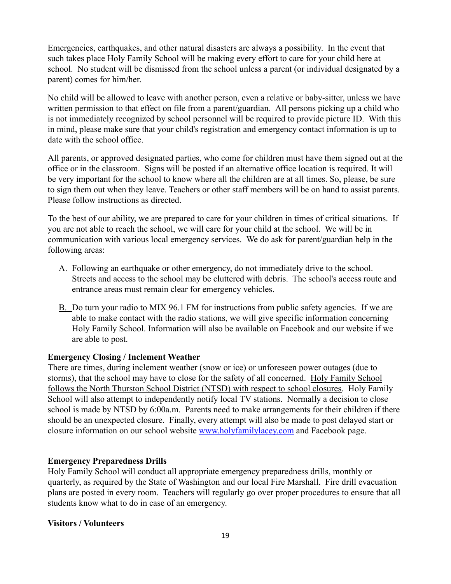Emergencies, earthquakes, and other natural disasters are always a possibility. In the event that such takes place Holy Family School will be making every effort to care for your child here at school. No student will be dismissed from the school unless a parent (or individual designated by a parent) comes for him/her.

No child will be allowed to leave with another person, even a relative or baby-sitter, unless we have written permission to that effect on file from a parent/guardian. All persons picking up a child who is not immediately recognized by school personnel will be required to provide picture ID. With this in mind, please make sure that your child's registration and emergency contact information is up to date with the school office.

All parents, or approved designated parties, who come for children must have them signed out at the office or in the classroom. Signs will be posted if an alternative office location is required. It will be very important for the school to know where all the children are at all times. So, please, be sure to sign them out when they leave. Teachers or other staff members will be on hand to assist parents. Please follow instructions as directed.

To the best of our ability, we are prepared to care for your children in times of critical situations. If you are not able to reach the school, we will care for your child at the school. We will be in communication with various local emergency services. We do ask for parent/guardian help in the following areas:

- A. Following an earthquake or other emergency, do not immediately drive to the school. Streets and access to the school may be cluttered with debris. The school's access route and entrance areas must remain clear for emergency vehicles.
- B. Do turn your radio to MIX 96.1 FM for instructions from public safety agencies. If we are able to make contact with the radio stations, we will give specific information concerning Holy Family School. Information will also be available on Facebook and our website if we are able to post.

# **Emergency Closing / Inclement Weather**

There are times, during inclement weather (snow or ice) or unforeseen power outages (due to storms), that the school may have to close for the safety of all concerned. Holy Family School follows the North Thurston School District (NTSD) with respect to school closures. Holy Family School will also attempt to independently notify local TV stations. Normally a decision to close school is made by NTSD by 6:00a.m. Parents need to make arrangements for their children if there should be an unexpected closure. Finally, every attempt will also be made to post delayed start or closure information on our school website [www.holyfamilylacey.com](http://www.holyfamilylacey.com) and Facebook page.

# **Emergency Preparedness Drills**

Holy Family School will conduct all appropriate emergency preparedness drills, monthly or quarterly, as required by the State of Washington and our local Fire Marshall. Fire drill evacuation plans are posted in every room. Teachers will regularly go over proper procedures to ensure that all students know what to do in case of an emergency.

# **Visitors / Volunteers**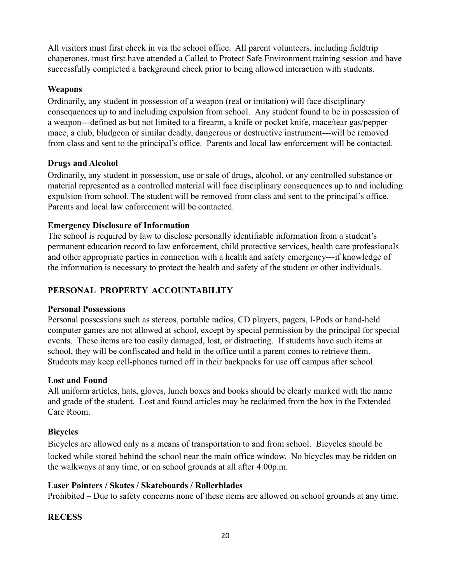All visitors must first check in via the school office. All parent volunteers, including fieldtrip chaperones, must first have attended a Called to Protect Safe Environment training session and have successfully completed a background check prior to being allowed interaction with students.

# **Weapons**

Ordinarily, any student in possession of a weapon (real or imitation) will face disciplinary consequences up to and including expulsion from school. Any student found to be in possession of a weapon---defined as but not limited to a firearm, a knife or pocket knife, mace/tear gas/pepper mace, a club, bludgeon or similar deadly, dangerous or destructive instrument---will be removed from class and sent to the principal's office. Parents and local law enforcement will be contacted.

# **Drugs and Alcohol**

Ordinarily, any student in possession, use or sale of drugs, alcohol, or any controlled substance or material represented as a controlled material will face disciplinary consequences up to and including expulsion from school. The student will be removed from class and sent to the principal's office. Parents and local law enforcement will be contacted.

# **Emergency Disclosure of Information**

The school is required by law to disclose personally identifiable information from a student's permanent education record to law enforcement, child protective services, health care professionals and other appropriate parties in connection with a health and safety emergency---if knowledge of the information is necessary to protect the health and safety of the student or other individuals.

# **PERSONAL PROPERTY ACCOUNTABILITY**

# **Personal Possessions**

Personal possessions such as stereos, portable radios, CD players, pagers, I-Pods or hand-held computer games are not allowed at school, except by special permission by the principal for special events. These items are too easily damaged, lost, or distracting. If students have such items at school, they will be confiscated and held in the office until a parent comes to retrieve them. Students may keep cell-phones turned off in their backpacks for use off campus after school.

# **Lost and Found**

All uniform articles, hats, gloves, lunch boxes and books should be clearly marked with the name and grade of the student. Lost and found articles may be reclaimed from the box in the Extended Care Room.

# **Bicycles**

Bicycles are allowed only as a means of transportation to and from school. Bicycles should be locked while stored behind the school near the main office window. No bicycles may be ridden on the walkways at any time, or on school grounds at all after 4:00p.m.

# **Laser Pointers / Skates / Skateboards / Rollerblades**

Prohibited – Due to safety concerns none of these items are allowed on school grounds at any time.

# **RECESS**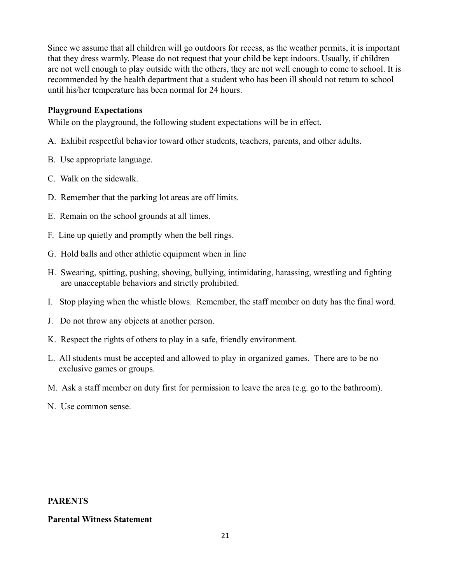Since we assume that all children will go outdoors for recess, as the weather permits, it is important that they dress warmly. Please do not request that your child be kept indoors. Usually, if children are not well enough to play outside with the others, they are not well enough to come to school. It is recommended by the health department that a student who has been ill should not return to school until his/her temperature has been normal for 24 hours.

# **Playground Expectations**

While on the playground, the following student expectations will be in effect.

- A. Exhibit respectful behavior toward other students, teachers, parents, and other adults.
- B. Use appropriate language.
- C. Walk on the sidewalk.
- D. Remember that the parking lot areas are off limits.
- E. Remain on the school grounds at all times.
- F. Line up quietly and promptly when the bell rings.
- G. Hold balls and other athletic equipment when in line
- H. Swearing, spitting, pushing, shoving, bullying, intimidating, harassing, wrestling and fighting are unacceptable behaviors and strictly prohibited.
- I. Stop playing when the whistle blows. Remember, the staff member on duty has the final word.
- J. Do not throw any objects at another person.
- K. Respect the rights of others to play in a safe, friendly environment.
- L. All students must be accepted and allowed to play in organized games. There are to be no exclusive games or groups.
- M. Ask a staff member on duty first for permission to leave the area (e.g. go to the bathroom).
- N. Use common sense.

# **PARENTS**

# **Parental Witness Statement**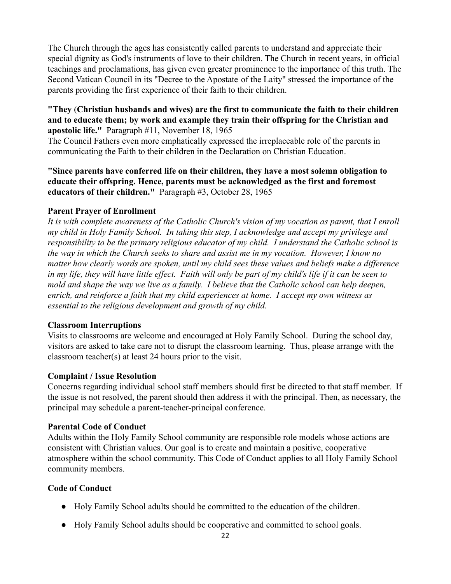The Church through the ages has consistently called parents to understand and appreciate their special dignity as God's instruments of love to their children. The Church in recent years, in official teachings and proclamations, has given even greater prominence to the importance of this truth. The Second Vatican Council in its "Decree to the Apostate of the Laity" stressed the importance of the parents providing the first experience of their faith to their children.

# **"They** (**Christian husbands and wives) are the first to communicate the faith to their children and to educate them; by work and example they train their offspring for the Christian and apostolic life."** Paragraph #11, November 18, 1965

The Council Fathers even more emphatically expressed the irreplaceable role of the parents in communicating the Faith to their children in the Declaration on Christian Education.

**"Since parents have conferred life on their children, they have a most solemn obligation to educate their offspring. Hence, parents must be acknowledged as the first and foremost educators of their children."** Paragraph #3, October 28, 1965

# **Parent Prayer of Enrollment**

*It is with complete awareness of the Catholic Church's vision of my vocation as parent, that I enroll my child in Holy Family School. In taking this step, I acknowledge and accept my privilege and responsibility to be the primary religious educator of my child. I understand the Catholic school is the way in which the Church seeks to share and assist me in my vocation. However, I know no matter how clearly words are spoken, until my child sees these values and beliefs make a difference in my life, they will have little effect. Faith will only be part of my child's life if it can be seen to mold and shape the way we live as a family. I believe that the Catholic school can help deepen, enrich, and reinforce a faith that my child experiences at home. I accept my own witness as essential to the religious development and growth of my child.*

# **Classroom Interruptions**

Visits to classrooms are welcome and encouraged at Holy Family School. During the school day, visitors are asked to take care not to disrupt the classroom learning. Thus, please arrange with the classroom teacher(s) at least 24 hours prior to the visit.

# **Complaint / Issue Resolution**

Concerns regarding individual school staff members should first be directed to that staff member. If the issue is not resolved, the parent should then address it with the principal. Then, as necessary, the principal may schedule a parent-teacher-principal conference.

# **Parental Code of Conduct**

Adults within the Holy Family School community are responsible role models whose actions are consistent with Christian values. Our goal is to create and maintain a positive, cooperative atmosphere within the school community. This Code of Conduct applies to all Holy Family School community members.

# **Code of Conduct**

- Holy Family School adults should be committed to the education of the children.
- Holy Family School adults should be cooperative and committed to school goals.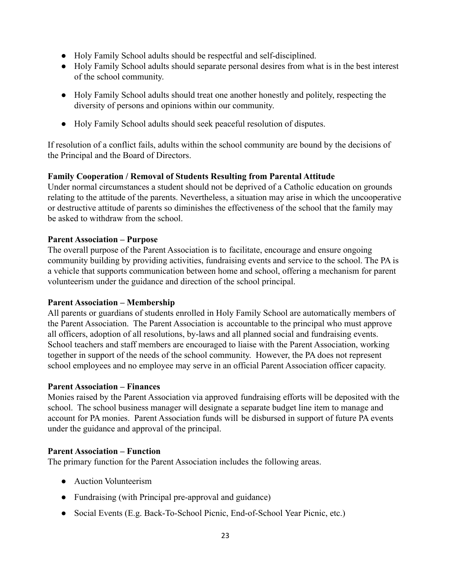- Holy Family School adults should be respectful and self-disciplined.
- Holy Family School adults should separate personal desires from what is in the best interest of the school community.
- Holy Family School adults should treat one another honestly and politely, respecting the diversity of persons and opinions within our community.
- Holy Family School adults should seek peaceful resolution of disputes.

If resolution of a conflict fails, adults within the school community are bound by the decisions of the Principal and the Board of Directors.

# **Family Cooperation / Removal of Students Resulting from Parental Attitude**

Under normal circumstances a student should not be deprived of a Catholic education on grounds relating to the attitude of the parents. Nevertheless, a situation may arise in which the uncooperative or destructive attitude of parents so diminishes the effectiveness of the school that the family may be asked to withdraw from the school.

# **Parent Association – Purpose**

The overall purpose of the Parent Association is to facilitate, encourage and ensure ongoing community building by providing activities, fundraising events and service to the school. The PA is a vehicle that supports communication between home and school, offering a mechanism for parent volunteerism under the guidance and direction of the school principal.

# **Parent Association – Membership**

All parents or guardians of students enrolled in Holy Family School are automatically members of the Parent Association. The Parent Association is accountable to the principal who must approve all officers, adoption of all resolutions, by-laws and all planned social and fundraising events. School teachers and staff members are encouraged to liaise with the Parent Association, working together in support of the needs of the school community. However, the PA does not represent school employees and no employee may serve in an official Parent Association officer capacity.

# **Parent Association – Finances**

Monies raised by the Parent Association via approved fundraising efforts will be deposited with the school. The school business manager will designate a separate budget line item to manage and account for PA monies. Parent Association funds will be disbursed in support of future PA events under the guidance and approval of the principal.

# **Parent Association – Function**

The primary function for the Parent Association includes the following areas.

- Auction Volunteerism
- Fundraising (with Principal pre-approval and guidance)
- Social Events (E.g. Back-To-School Picnic, End-of-School Year Picnic, etc.)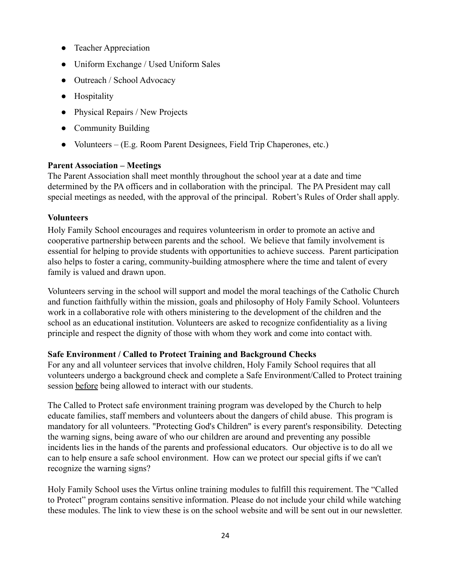- Teacher Appreciation
- Uniform Exchange / Used Uniform Sales
- Outreach / School Advocacy
- Hospitality
- Physical Repairs / New Projects
- Community Building
- Volunteers (E.g. Room Parent Designees, Field Trip Chaperones, etc.)

# **Parent Association – Meetings**

The Parent Association shall meet monthly throughout the school year at a date and time determined by the PA officers and in collaboration with the principal. The PA President may call special meetings as needed, with the approval of the principal. Robert's Rules of Order shall apply.

# **Volunteers**

Holy Family School encourages and requires volunteerism in order to promote an active and cooperative partnership between parents and the school. We believe that family involvement is essential for helping to provide students with opportunities to achieve success. Parent participation also helps to foster a caring, community-building atmosphere where the time and talent of every family is valued and drawn upon.

Volunteers serving in the school will support and model the moral teachings of the Catholic Church and function faithfully within the mission, goals and philosophy of Holy Family School. Volunteers work in a collaborative role with others ministering to the development of the children and the school as an educational institution. Volunteers are asked to recognize confidentiality as a living principle and respect the dignity of those with whom they work and come into contact with.

# **Safe Environment / Called to Protect Training and Background Checks**

For any and all volunteer services that involve children, Holy Family School requires that all volunteers undergo a background check and complete a Safe Environment/Called to Protect training session before being allowed to interact with our students.

The Called to Protect safe environment training program was developed by the Church to help educate families, staff members and volunteers about the dangers of child abuse. This program is mandatory for all volunteers. "Protecting God's Children" is every parent's responsibility. Detecting the warning signs, being aware of who our children are around and preventing any possible incidents lies in the hands of the parents and professional educators. Our objective is to do all we can to help ensure a safe school environment. How can we protect our special gifts if we can't recognize the warning signs?

Holy Family School uses the Virtus online training modules to fulfill this requirement. The "Called to Protect" program contains sensitive information. Please do not include your child while watching these modules. The link to view these is on the school website and will be sent out in our newsletter.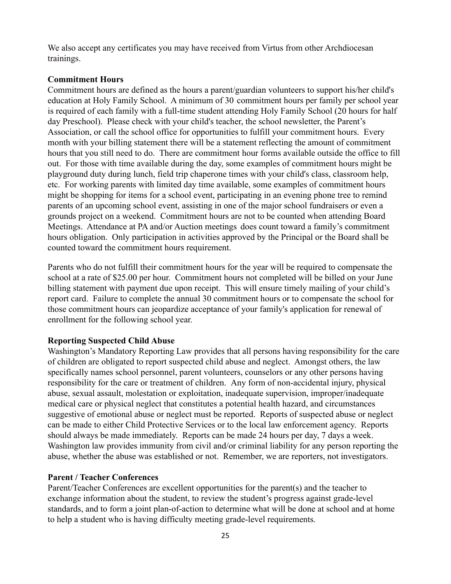We also accept any certificates you may have received from Virtus from other Archdiocesan trainings.

#### **Commitment Hours**

Commitment hours are defined as the hours a parent/guardian volunteers to support his/her child's education at Holy Family School. A minimum of 30 commitment hours per family per school year is required of each family with a full-time student attending Holy Family School (20 hours for half day Preschool). Please check with your child's teacher, the school newsletter, the Parent's Association, or call the school office for opportunities to fulfill your commitment hours. Every month with your billing statement there will be a statement reflecting the amount of commitment hours that you still need to do. There are commitment hour forms available outside the office to fill out. For those with time available during the day, some examples of commitment hours might be playground duty during lunch, field trip chaperone times with your child's class, classroom help, etc. For working parents with limited day time available, some examples of commitment hours might be shopping for items for a school event, participating in an evening phone tree to remind parents of an upcoming school event, assisting in one of the major school fundraisers or even a grounds project on a weekend. Commitment hours are not to be counted when attending Board Meetings. Attendance at PA and/or Auction meetings does count toward a family's commitment hours obligation. Only participation in activities approved by the Principal or the Board shall be counted toward the commitment hours requirement.

Parents who do not fulfill their commitment hours for the year will be required to compensate the school at a rate of \$25.00 per hour. Commitment hours not completed will be billed on your June billing statement with payment due upon receipt. This will ensure timely mailing of your child's report card. Failure to complete the annual 30 commitment hours or to compensate the school for those commitment hours can jeopardize acceptance of your family's application for renewal of enrollment for the following school year.

#### **Reporting Suspected Child Abuse**

Washington's Mandatory Reporting Law provides that all persons having responsibility for the care of children are obligated to report suspected child abuse and neglect. Amongst others, the law specifically names school personnel, parent volunteers, counselors or any other persons having responsibility for the care or treatment of children. Any form of non-accidental injury, physical abuse, sexual assault, molestation or exploitation, inadequate supervision, improper/inadequate medical care or physical neglect that constitutes a potential health hazard, and circumstances suggestive of emotional abuse or neglect must be reported. Reports of suspected abuse or neglect can be made to either Child Protective Services or to the local law enforcement agency. Reports should always be made immediately. Reports can be made 24 hours per day, 7 days a week. Washington law provides immunity from civil and/or criminal liability for any person reporting the abuse, whether the abuse was established or not. Remember, we are reporters, not investigators.

#### **Parent / Teacher Conferences**

Parent/Teacher Conferences are excellent opportunities for the parent(s) and the teacher to exchange information about the student, to review the student's progress against grade-level standards, and to form a joint plan-of-action to determine what will be done at school and at home to help a student who is having difficulty meeting grade-level requirements.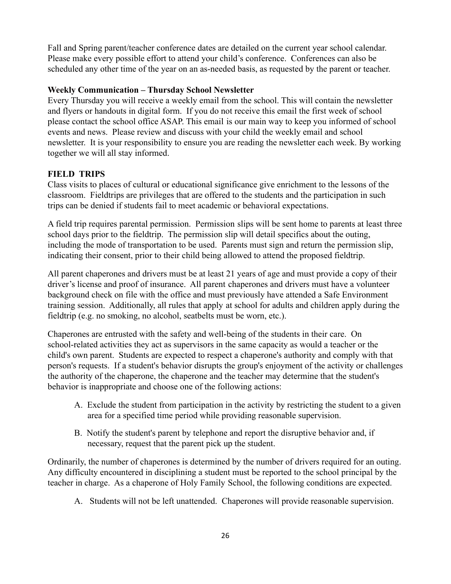Fall and Spring parent/teacher conference dates are detailed on the current year school calendar. Please make every possible effort to attend your child's conference. Conferences can also be scheduled any other time of the year on an as-needed basis, as requested by the parent or teacher.

# **Weekly Communication – Thursday School Newsletter**

Every Thursday you will receive a weekly email from the school. This will contain the newsletter and flyers or handouts in digital form. If you do not receive this email the first week of school please contact the school office ASAP. This email is our main way to keep you informed of school events and news. Please review and discuss with your child the weekly email and school newsletter. It is your responsibility to ensure you are reading the newsletter each week. By working together we will all stay informed.

# **FIELD TRIPS**

Class visits to places of cultural or educational significance give enrichment to the lessons of the classroom. Fieldtrips are privileges that are offered to the students and the participation in such trips can be denied if students fail to meet academic or behavioral expectations.

A field trip requires parental permission. Permission slips will be sent home to parents at least three school days prior to the fieldtrip. The permission slip will detail specifics about the outing, including the mode of transportation to be used. Parents must sign and return the permission slip, indicating their consent, prior to their child being allowed to attend the proposed fieldtrip.

All parent chaperones and drivers must be at least 21 years of age and must provide a copy of their driver's license and proof of insurance. All parent chaperones and drivers must have a volunteer background check on file with the office and must previously have attended a Safe Environment training session. Additionally, all rules that apply at school for adults and children apply during the fieldtrip (e.g. no smoking, no alcohol, seatbelts must be worn, etc.).

Chaperones are entrusted with the safety and well-being of the students in their care. On school-related activities they act as supervisors in the same capacity as would a teacher or the child's own parent. Students are expected to respect a chaperone's authority and comply with that person's requests. If a student's behavior disrupts the group's enjoyment of the activity or challenges the authority of the chaperone, the chaperone and the teacher may determine that the student's behavior is inappropriate and choose one of the following actions:

- A. Exclude the student from participation in the activity by restricting the student to a given area for a specified time period while providing reasonable supervision.
- B. Notify the student's parent by telephone and report the disruptive behavior and, if necessary, request that the parent pick up the student.

Ordinarily, the number of chaperones is determined by the number of drivers required for an outing. Any difficulty encountered in disciplining a student must be reported to the school principal by the teacher in charge. As a chaperone of Holy Family School, the following conditions are expected.

A. Students will not be left unattended. Chaperones will provide reasonable supervision.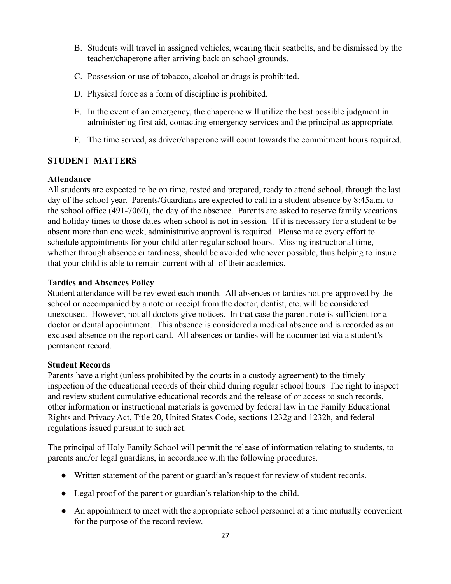- B. Students will travel in assigned vehicles, wearing their seatbelts, and be dismissed by the teacher/chaperone after arriving back on school grounds.
- C. Possession or use of tobacco, alcohol or drugs is prohibited.
- D. Physical force as a form of discipline is prohibited.
- E. In the event of an emergency, the chaperone will utilize the best possible judgment in administering first aid, contacting emergency services and the principal as appropriate.
- F. The time served, as driver/chaperone will count towards the commitment hours required.

# **STUDENT MATTERS**

# **Attendance**

All students are expected to be on time, rested and prepared, ready to attend school, through the last day of the school year. Parents/Guardians are expected to call in a student absence by 8:45a.m. to the school office (491-7060), the day of the absence. Parents are asked to reserve family vacations and holiday times to those dates when school is not in session. If it is necessary for a student to be absent more than one week, administrative approval is required. Please make every effort to schedule appointments for your child after regular school hours. Missing instructional time, whether through absence or tardiness, should be avoided whenever possible, thus helping to insure that your child is able to remain current with all of their academics.

# **Tardies and Absences Policy**

Student attendance will be reviewed each month. All absences or tardies not pre-approved by the school or accompanied by a note or receipt from the doctor, dentist, etc. will be considered unexcused. However, not all doctors give notices. In that case the parent note is sufficient for a doctor or dental appointment. This absence is considered a medical absence and is recorded as an excused absence on the report card. All absences or tardies will be documented via a student's permanent record.

# **Student Records**

Parents have a right (unless prohibited by the courts in a custody agreement) to the timely inspection of the educational records of their child during regular school hours The right to inspect and review student cumulative educational records and the release of or access to such records, other information or instructional materials is governed by federal law in the Family Educational Rights and Privacy Act, Title 20, United States Code, sections 1232g and 1232h, and federal regulations issued pursuant to such act.

The principal of Holy Family School will permit the release of information relating to students, to parents and/or legal guardians, in accordance with the following procedures.

- Written statement of the parent or guardian's request for review of student records.
- Legal proof of the parent or guardian's relationship to the child.
- An appointment to meet with the appropriate school personnel at a time mutually convenient for the purpose of the record review.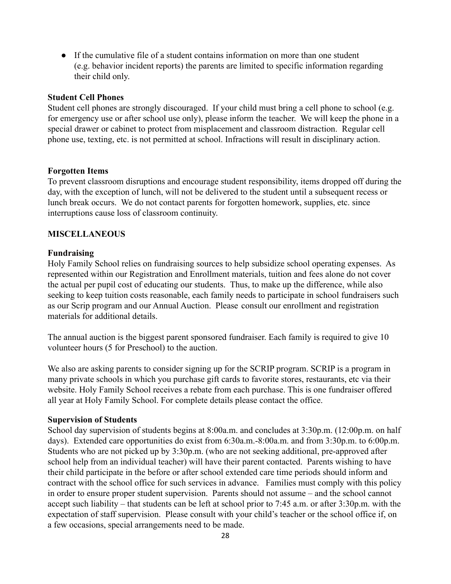● If the cumulative file of a student contains information on more than one student (e.g. behavior incident reports) the parents are limited to specific information regarding their child only.

#### **Student Cell Phones**

Student cell phones are strongly discouraged. If your child must bring a cell phone to school (e.g. for emergency use or after school use only), please inform the teacher. We will keep the phone in a special drawer or cabinet to protect from misplacement and classroom distraction. Regular cell phone use, texting, etc. is not permitted at school. Infractions will result in disciplinary action.

#### **Forgotten Items**

To prevent classroom disruptions and encourage student responsibility, items dropped off during the day, with the exception of lunch, will not be delivered to the student until a subsequent recess or lunch break occurs. We do not contact parents for forgotten homework, supplies, etc. since interruptions cause loss of classroom continuity.

#### **MISCELLANEOUS**

#### **Fundraising**

Holy Family School relies on fundraising sources to help subsidize school operating expenses. As represented within our Registration and Enrollment materials, tuition and fees alone do not cover the actual per pupil cost of educating our students. Thus, to make up the difference, while also seeking to keep tuition costs reasonable, each family needs to participate in school fundraisers such as our Scrip program and our Annual Auction. Please consult our enrollment and registration materials for additional details.

The annual auction is the biggest parent sponsored fundraiser. Each family is required to give 10 volunteer hours (5 for Preschool) to the auction.

We also are asking parents to consider signing up for the SCRIP program. SCRIP is a program in many private schools in which you purchase gift cards to favorite stores, restaurants, etc via their website. Holy Family School receives a rebate from each purchase. This is one fundraiser offered all year at Holy Family School. For complete details please contact the office.

#### **Supervision of Students**

School day supervision of students begins at 8:00a.m. and concludes at 3:30p.m. (12:00p.m. on half days). Extended care opportunities do exist from 6:30a.m.-8:00a.m. and from 3:30p.m. to 6:00p.m. Students who are not picked up by 3:30p.m. (who are not seeking additional, pre-approved after school help from an individual teacher) will have their parent contacted. Parents wishing to have their child participate in the before or after school extended care time periods should inform and contract with the school office for such services in advance. Families must comply with this policy in order to ensure proper student supervision. Parents should not assume – and the school cannot accept such liability – that students can be left at school prior to 7:45 a.m. or after 3:30p.m. with the expectation of staff supervision. Please consult with your child's teacher or the school office if, on a few occasions, special arrangements need to be made.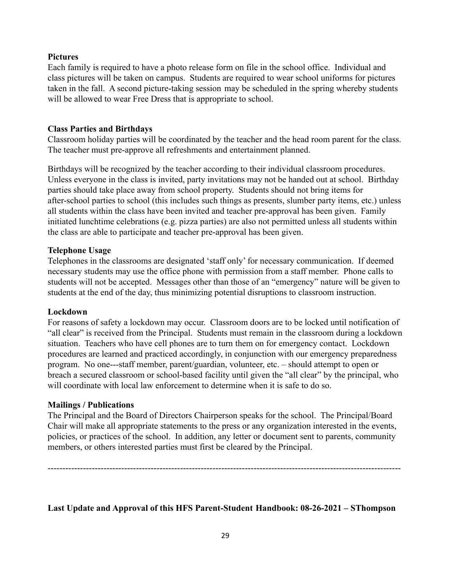# **Pictures**

Each family is required to have a photo release form on file in the school office. Individual and class pictures will be taken on campus. Students are required to wear school uniforms for pictures taken in the fall. A second picture-taking session may be scheduled in the spring whereby students will be allowed to wear Free Dress that is appropriate to school.

# **Class Parties and Birthdays**

Classroom holiday parties will be coordinated by the teacher and the head room parent for the class. The teacher must pre-approve all refreshments and entertainment planned.

Birthdays will be recognized by the teacher according to their individual classroom procedures. Unless everyone in the class is invited, party invitations may not be handed out at school. Birthday parties should take place away from school property. Students should not bring items for after-school parties to school (this includes such things as presents, slumber party items, etc.) unless all students within the class have been invited and teacher pre-approval has been given. Family initiated lunchtime celebrations (e.g. pizza parties) are also not permitted unless all students within the class are able to participate and teacher pre-approval has been given.

# **Telephone Usage**

Telephones in the classrooms are designated 'staff only' for necessary communication. If deemed necessary students may use the office phone with permission from a staff member. Phone calls to students will not be accepted. Messages other than those of an "emergency" nature will be given to students at the end of the day, thus minimizing potential disruptions to classroom instruction.

# **Lockdown**

For reasons of safety a lockdown may occur. Classroom doors are to be locked until notification of "all clear" is received from the Principal. Students must remain in the classroom during a lockdown situation. Teachers who have cell phones are to turn them on for emergency contact. Lockdown procedures are learned and practiced accordingly, in conjunction with our emergency preparedness program. No one---staff member, parent/guardian, volunteer, etc. – should attempt to open or breach a secured classroom or school-based facility until given the "all clear" by the principal, who will coordinate with local law enforcement to determine when it is safe to do so.

# **Mailings / Publications**

The Principal and the Board of Directors Chairperson speaks for the school. The Principal/Board Chair will make all appropriate statements to the press or any organization interested in the events, policies, or practices of the school. In addition, any letter or document sent to parents, community members, or others interested parties must first be cleared by the Principal.

------------------------------------------------------------------------------------------------------------------------

# **Last Update and Approval of this HFS Parent-Student Handbook: 08-26-2021 – SThompson**